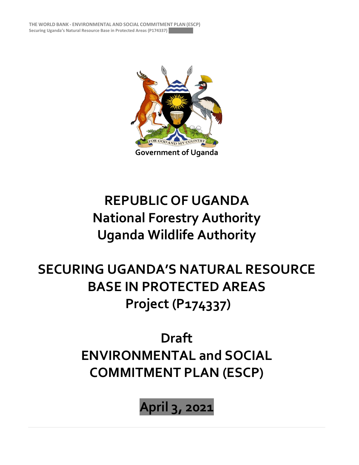**THE WORLD BANK - ENVIRONMENTAL AND SOCIAL COMMITMENT PLAN (ESCP)** Securing Uganda's Natural Resource Base in Protected Areas (P174337)



## WORKING DRA FT **REPUBLIC OF UGANDA National Forestry Authority Uganda Wildlife Authority**

**SECURING UGANDA'S NATURAL RESOURCE BASE IN PROTECTED AREAS Project (P174337)**

## **Draft ENVIRONMENTAL and SOCIAL COMMITMENT PLAN (ESCP)**

**April 3, 2021**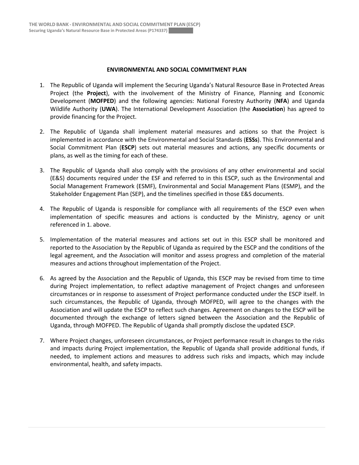## **ENVIRONMENTAL AND SOCIAL COMMITMENT PLAN**

- 1. The Republic of Uganda will implement the Securing Uganda's Natural Resource Base in Protected Areas Project (the **Project**), with the involvement of the Ministry of Finance, Planning and Economic Development (**MOFPED**) and the following agencies: National Forestry Authority (**NFA**) and Uganda Wildlife Authority (**UWA**). The International Development Association (the **Association**) has agreed to provide financing for the Project.
- 2. The Republic of Uganda shall implement material measures and actions so that the Project is implemented in accordance with the Environmental and Social Standards (**ESSs**). This Environmental and Social Commitment Plan (**ESCP**) sets out material measures and actions, any specific documents or plans, as well as the timing for each of these.
- 3. The Republic of Uganda shall also comply with the provisions of any other environmental and social (E&S) documents required under the ESF and referred to in this ESCP, such as the Environmental and Social Management Framework (ESMF), Environmental and Social Management Plans (ESMP), and the Stakeholder Engagement Plan (SEP), and the timelines specified in those E&S documents.
- 4. The Republic of Uganda is responsible for compliance with all requirements of the ESCP even when implementation of specific measures and actions is conducted by the Ministry, agency or unit referenced in 1. above.
- 5. Implementation of the material measures and actions set out in this ESCP shall be monitored and reported to the Association by the Republic of Uganda as required by the ESCP and the conditions of the legal agreement, and the Association will monitor and assess progress and completion of the material measures and actions throughout implementation of the Project.
- 6. As agreed by the Association and the Republic of Uganda, this ESCP may be revised from time to time during Project implementation, to reflect adaptive management of Project changes and unforeseen circumstances or in response to assessment of Project performance conducted under the ESCP itself. In such circumstances, the Republic of Uganda, through MOFPED, will agree to the changes with the Association and will update the ESCP to reflect such changes. Agreement on changes to the ESCP will be documented through the exchange of letters signed between the Association and the Republic of Uganda, through MOFPED. The Republic of Uganda shall promptly disclose the updated ESCP.
- 7. Where Project changes, unforeseen circumstances, or Project performance result in changes to the risks and impacts during Project implementation, the Republic of Uganda shall provide additional funds, if needed, to implement actions and measures to address such risks and impacts, which may include environmental, health, and safety impacts.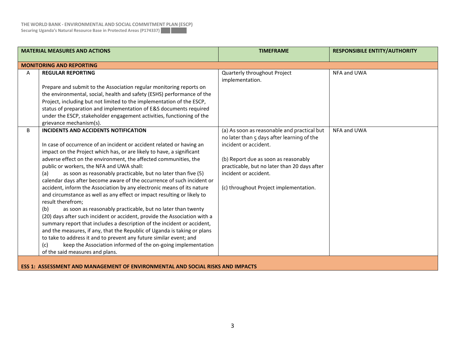| <b>MATERIAL MEASURES AND ACTIONS</b>                                                  |                                                                                                                                                                                                                                                                                                                                                                                                                                                                                                                                                                                                                                                                                                                                                                                                                                                                                                                                                                                                                                                                                                                               | <b>TIMEFRAME</b>                                                                                                                                                                                                                                                              | <b>RESPONSIBILE ENTITY/AUTHORITY</b> |
|---------------------------------------------------------------------------------------|-------------------------------------------------------------------------------------------------------------------------------------------------------------------------------------------------------------------------------------------------------------------------------------------------------------------------------------------------------------------------------------------------------------------------------------------------------------------------------------------------------------------------------------------------------------------------------------------------------------------------------------------------------------------------------------------------------------------------------------------------------------------------------------------------------------------------------------------------------------------------------------------------------------------------------------------------------------------------------------------------------------------------------------------------------------------------------------------------------------------------------|-------------------------------------------------------------------------------------------------------------------------------------------------------------------------------------------------------------------------------------------------------------------------------|--------------------------------------|
|                                                                                       | <b>MONITORING AND REPORTING</b>                                                                                                                                                                                                                                                                                                                                                                                                                                                                                                                                                                                                                                                                                                                                                                                                                                                                                                                                                                                                                                                                                               |                                                                                                                                                                                                                                                                               |                                      |
| A                                                                                     | <b>REGULAR REPORTING</b><br>Prepare and submit to the Association regular monitoring reports on<br>the environmental, social, health and safety (ESHS) performance of the<br>Project, including but not limited to the implementation of the ESCP,<br>status of preparation and implementation of E&S documents required<br>under the ESCP, stakeholder engagement activities, functioning of the<br>grievance mechanism(s).                                                                                                                                                                                                                                                                                                                                                                                                                                                                                                                                                                                                                                                                                                  | Quarterly throughout Project<br>implementation.                                                                                                                                                                                                                               | NFA and UWA                          |
| B                                                                                     | INCIDENTS AND ACCIDENTS NOTIFICATION<br>In case of occurrence of an incident or accident related or having an<br>impact on the Project which has, or are likely to have, a significant<br>adverse effect on the environment, the affected communities, the<br>public or workers, the NFA and UWA shall:<br>as soon as reasonably practicable, but no later than five (5)<br>(a)<br>calendar days after become aware of the occurrence of such incident or<br>accident, inform the Association by any electronic means of its nature<br>and circumstance as well as any effect or impact resulting or likely to<br>result therefrom;<br>as soon as reasonably practicable, but no later than twenty<br>(b)<br>(20) days after such incident or accident, provide the Association with a<br>summary report that includes a description of the incident or accident,<br>and the measures, if any, that the Republic of Uganda is taking or plans<br>to take to address it and to prevent any future similar event; and<br>keep the Association informed of the on-going implementation<br>(c)<br>of the said measures and plans. | (a) As soon as reasonable and practical but<br>no later than 5 days after learning of the<br>incident or accident.<br>(b) Report due as soon as reasonably<br>practicable, but no later than 20 days after<br>incident or accident.<br>(c) throughout Project implementation. | NFA and UWA                          |
| <b>ESS 1: ASSESSMENT AND MANAGEMENT OF ENVIRONMENTAL AND SOCIAL RISKS AND IMPACTS</b> |                                                                                                                                                                                                                                                                                                                                                                                                                                                                                                                                                                                                                                                                                                                                                                                                                                                                                                                                                                                                                                                                                                                               |                                                                                                                                                                                                                                                                               |                                      |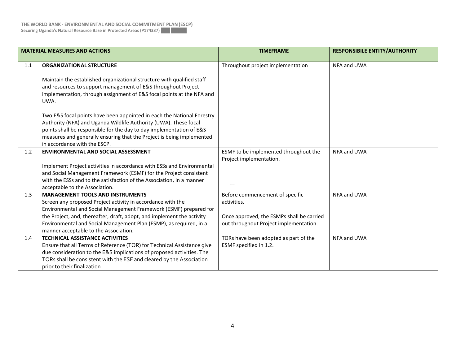| <b>MATERIAL MEASURES AND ACTIONS</b> |                                                                                                                                                                                                                                                                                                                                                                                                           | <b>TIMEFRAME</b>                                                                                                                      | <b>RESPONSIBILE ENTITY/AUTHORITY</b> |
|--------------------------------------|-----------------------------------------------------------------------------------------------------------------------------------------------------------------------------------------------------------------------------------------------------------------------------------------------------------------------------------------------------------------------------------------------------------|---------------------------------------------------------------------------------------------------------------------------------------|--------------------------------------|
| 1.1                                  | <b>ORGANIZATIONAL STRUCTURE</b><br>Maintain the established organizational structure with qualified staff<br>and resources to support management of E&S throughout Project<br>implementation, through assignment of E&S focal points at the NFA and<br>UWA.<br>Two E&S focal points have been appointed in each the National Forestry<br>Authority (NFA) and Uganda Wildlife Authority (UWA). These focal | Throughout project implementation                                                                                                     | NFA and UWA                          |
|                                      | points shall be responsible for the day to day implementation of E&S<br>measures and generally ensuring that the Project is being implemented<br>in accordance with the ESCP.                                                                                                                                                                                                                             |                                                                                                                                       |                                      |
| 1.2                                  | <b>ENVIRONMENTAL AND SOCIAL ASSESSMENT</b><br>Implement Project activities in accordance with ESSs and Environmental<br>and Social Management Framework (ESMF) for the Project consistent<br>with the ESSs and to the satisfaction of the Association, in a manner<br>acceptable to the Association.                                                                                                      | ESMF to be implemented throughout the<br>Project implementation.                                                                      | NFA and UWA                          |
| 1.3                                  | <b>MANAGEMENT TOOLS AND INSTRUMENTS</b><br>Screen any proposed Project activity in accordance with the<br>Environmental and Social Management Framework (ESMF) prepared for<br>the Project, and, thereafter, draft, adopt, and implement the activity<br>Environmental and Social Management Plan (ESMP), as required, in a<br>manner acceptable to the Association.                                      | Before commencement of specific<br>activities.<br>Once approved, the ESMPs shall be carried<br>out throughout Project implementation. | NFA and UWA                          |
| 1.4                                  | <b>TECHNICAL ASSISTANCE ACTIVITIES</b><br>Ensure that all Terms of Reference (TOR) for Technical Assistance give<br>due consideration to the E&S implications of proposed activities. The<br>TORs shall be consistent with the ESF and cleared by the Association<br>prior to their finalization.                                                                                                         | TORs have been adopted as part of the<br>ESMF specified in 1.2.                                                                       | NFA and UWA                          |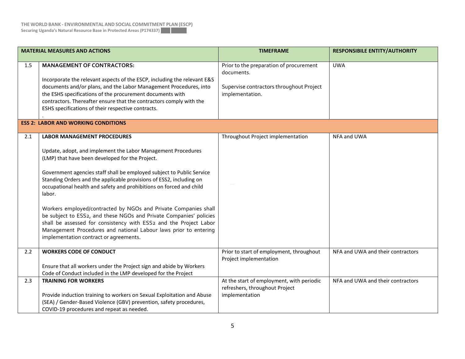| <b>MATERIAL MEASURES AND ACTIONS</b> |                                                                                                                                                                                                                                                                                                                                                                                                                                                                                                                                                                                                                                                                                                                    | <b>TIMEFRAME</b>                                                                                                     | <b>RESPONSIBILE ENTITY/AUTHORITY</b> |  |  |
|--------------------------------------|--------------------------------------------------------------------------------------------------------------------------------------------------------------------------------------------------------------------------------------------------------------------------------------------------------------------------------------------------------------------------------------------------------------------------------------------------------------------------------------------------------------------------------------------------------------------------------------------------------------------------------------------------------------------------------------------------------------------|----------------------------------------------------------------------------------------------------------------------|--------------------------------------|--|--|
| 1.5                                  | <b>MANAGEMENT OF CONTRACTORS:</b><br>Incorporate the relevant aspects of the ESCP, including the relevant E&S<br>documents and/or plans, and the Labor Management Procedures, into<br>the ESHS specifications of the procurement documents with<br>contractors. Thereafter ensure that the contractors comply with the<br>ESHS specifications of their respective contracts.                                                                                                                                                                                                                                                                                                                                       | Prior to the preparation of procurement<br>documents.<br>Supervise contractors throughout Project<br>implementation. | <b>UWA</b>                           |  |  |
|                                      | <b>ESS 2: LABOR AND WORKING CONDITIONS</b>                                                                                                                                                                                                                                                                                                                                                                                                                                                                                                                                                                                                                                                                         |                                                                                                                      |                                      |  |  |
| 2.1                                  | <b>LABOR MANAGEMENT PROCEDURES</b><br>Update, adopt, and implement the Labor Management Procedures<br>(LMP) that have been developed for the Project.<br>Government agencies staff shall be employed subject to Public Service<br>Standing Orders and the applicable provisions of ESS2, including on<br>occupational health and safety and prohibitions on forced and child<br>labor.<br>Workers employed/contracted by NGOs and Private Companies shall<br>be subject to ESS2, and these NGOs and Private Companies' policies<br>shall be assessed for consistency with ESS2 and the Project Labor<br>Management Procedures and national Labour laws prior to entering<br>implementation contract or agreements. | Throughout Project implementation                                                                                    | NFA and UWA                          |  |  |
| 2.2                                  | <b>WORKERS CODE OF CONDUCT</b><br>Ensure that all workers under the Project sign and abide by Workers<br>Code of Conduct included in the LMP developed for the Project                                                                                                                                                                                                                                                                                                                                                                                                                                                                                                                                             | Prior to start of employment, throughout<br>Project implementation                                                   | NFA and UWA and their contractors    |  |  |
| 2.3                                  | <b>TRAINING FOR WORKERS</b><br>Provide induction training to workers on Sexual Exploitation and Abuse<br>(SEA) / Gender-Based Violence (GBV) prevention, safety procedures,<br>COVID-19 procedures and repeat as needed.                                                                                                                                                                                                                                                                                                                                                                                                                                                                                           | At the start of employment, with periodic<br>refreshers, throughout Project<br>implementation                        | NFA and UWA and their contractors    |  |  |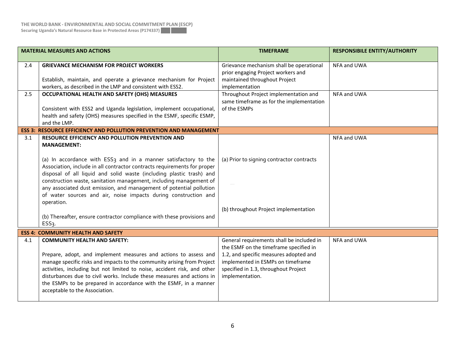| <b>MATERIAL MEASURES AND ACTIONS</b> |                                                                                                                                                                                                                                                                                                                                                                                                                                                                                                                                                                                                                                                                                                         | <b>TIMEFRAME</b>                                                                                                                                                                                                              | <b>RESPONSIBILE ENTITY/AUTHORITY</b> |
|--------------------------------------|---------------------------------------------------------------------------------------------------------------------------------------------------------------------------------------------------------------------------------------------------------------------------------------------------------------------------------------------------------------------------------------------------------------------------------------------------------------------------------------------------------------------------------------------------------------------------------------------------------------------------------------------------------------------------------------------------------|-------------------------------------------------------------------------------------------------------------------------------------------------------------------------------------------------------------------------------|--------------------------------------|
| 2.4                                  | <b>GRIEVANCE MECHANISM FOR PROJECT WORKERS</b><br>Establish, maintain, and operate a grievance mechanism for Project<br>workers, as described in the LMP and consistent with ESS2.                                                                                                                                                                                                                                                                                                                                                                                                                                                                                                                      | Grievance mechanism shall be operational<br>prior engaging Project workers and<br>maintained throughout Project<br>implementation                                                                                             | NFA and UWA                          |
| 2.5                                  | OCCUPATIONAL HEALTH AND SAFETY (OHS) MEASURES<br>Consistent with ESS2 and Uganda legislation, implement occupational,<br>health and safety (OHS) measures specified in the ESMF, specific ESMP,<br>and the LMP.                                                                                                                                                                                                                                                                                                                                                                                                                                                                                         | Throughout Project implementation and<br>same timeframe as for the implementation<br>of the ESMPs                                                                                                                             | NFA and UWA                          |
| 3.1                                  | <b>ESS 3: RESOURCE EFFICIENCY AND POLLUTION PREVENTION AND MANAGEMENT</b><br>RESOURCE EFFICIENCY AND POLLUTION PREVENTION AND<br><b>MANAGEMENT:</b><br>(a) In accordance with ESS <sub>3</sub> and in a manner satisfactory to the<br>Association, include in all contractor contracts requirements for proper<br>disposal of all liquid and solid waste (including plastic trash) and<br>construction waste, sanitation management, including management of<br>any associated dust emission, and management of potential pollution<br>of water sources and air, noise impacts during construction and<br>operation.<br>(b) Thereafter, ensure contractor compliance with these provisions and<br>ESS3. | (a) Prior to signing contractor contracts<br>(b) throughout Project implementation                                                                                                                                            | NFA and UWA                          |
|                                      | <b>ESS 4: COMMUNITY HEALTH AND SAFETY</b>                                                                                                                                                                                                                                                                                                                                                                                                                                                                                                                                                                                                                                                               |                                                                                                                                                                                                                               |                                      |
| 4.1                                  | <b>COMMUNITY HEALTH AND SAFETY:</b><br>Prepare, adopt, and implement measures and actions to assess and<br>manage specific risks and impacts to the community arising from Project<br>activities, including but not limited to noise, accident risk, and other<br>disturbances due to civil works. Include these measures and actions in<br>the ESMPs to be prepared in accordance with the ESMF, in a manner<br>acceptable to the Association.                                                                                                                                                                                                                                                         | General requirements shall be included in<br>the ESMF on the timeframe specified in<br>1.2, and specific measures adopted and<br>implemented in ESMPs on timeframe<br>specified in 1.3, throughout Project<br>implementation. | NFA and UWA                          |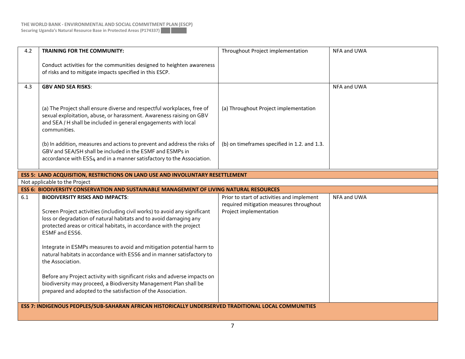| 4.2                           | <b>TRAINING FOR THE COMMUNITY:</b>                                                                                                                                                                                                | Throughout Project implementation            | NFA and UWA |  |
|-------------------------------|-----------------------------------------------------------------------------------------------------------------------------------------------------------------------------------------------------------------------------------|----------------------------------------------|-------------|--|
|                               | Conduct activities for the communities designed to heighten awareness<br>of risks and to mitigate impacts specified in this ESCP.                                                                                                 |                                              |             |  |
| 4.3                           | <b>GBV AND SEA RISKS:</b>                                                                                                                                                                                                         |                                              | NFA and UWA |  |
|                               | (a) The Project shall ensure diverse and respectful workplaces, free of<br>sexual exploitation, abuse, or harassment. Awareness raising on GBV<br>and SEA / H shall be included in general engagements with local<br>communities. | (a) Throughout Project implementation        |             |  |
|                               | (b) In addition, measures and actions to prevent and address the risks of<br>GBV and SEA/SH shall be included in the ESMF and ESMPs in<br>accordance with ESS4 and in a manner satisfactory to the Association.                   | (b) on timeframes specified in 1.2. and 1.3. |             |  |
|                               | <b>ESS 5: LAND ACQUISITION, RESTRICTIONS ON LAND USE AND INVOLUNTARY RESETTLEMENT</b>                                                                                                                                             |                                              |             |  |
| Not applicable to the Project |                                                                                                                                                                                                                                   |                                              |             |  |
|                               |                                                                                                                                                                                                                                   |                                              |             |  |
|                               | <b>ESS 6: BIODIVERSITY CONSERVATION AND SUSTAINABLE MANAGEMENT OF LIVING NATURAL RESOURCES</b>                                                                                                                                    |                                              |             |  |
| 6.1                           | <b>BIODIVERSITY RISKS AND IMPACTS:</b>                                                                                                                                                                                            | Prior to start of activities and implement   | NFA and UWA |  |
|                               |                                                                                                                                                                                                                                   | required mitigation measures throughout      |             |  |
|                               | Screen Project activities (including civil works) to avoid any significant                                                                                                                                                        | Project implementation                       |             |  |
|                               | loss or degradation of natural habitats and to avoid damaging any<br>protected areas or critical habitats, in accordance with the project<br>ESMF and ESS6.                                                                       |                                              |             |  |
|                               | Integrate in ESMPs measures to avoid and mitigation potential harm to<br>natural habitats in accordance with ESS6 and in manner satisfactory to<br>the Association.                                                               |                                              |             |  |
|                               | Before any Project activity with significant risks and adverse impacts on<br>biodiversity may proceed, a Biodiversity Management Plan shall be<br>prepared and adopted to the satisfaction of the Association.                    |                                              |             |  |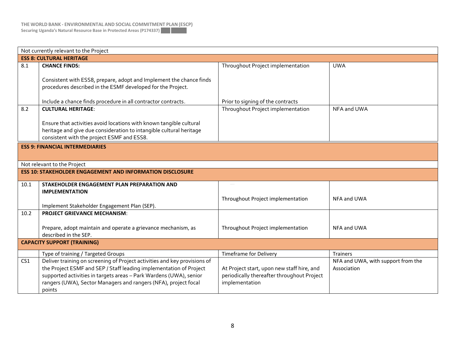| Not currently relevant to the Project |                                                                                                                                                                                                                                                                                                    |                                                                                                            |                                                   |  |
|---------------------------------------|----------------------------------------------------------------------------------------------------------------------------------------------------------------------------------------------------------------------------------------------------------------------------------------------------|------------------------------------------------------------------------------------------------------------|---------------------------------------------------|--|
| <b>ESS 8: CULTURAL HERITAGE</b>       |                                                                                                                                                                                                                                                                                                    |                                                                                                            |                                                   |  |
| 8.1                                   | <b>CHANCE FINDS:</b>                                                                                                                                                                                                                                                                               | Throughout Project implementation                                                                          | <b>UWA</b>                                        |  |
|                                       | Consistent with ESS8, prepare, adopt and Implement the chance finds<br>procedures described in the ESMF developed for the Project.                                                                                                                                                                 |                                                                                                            |                                                   |  |
|                                       | Include a chance finds procedure in all contractor contracts.                                                                                                                                                                                                                                      | Prior to signing of the contracts                                                                          |                                                   |  |
| 8.2                                   | <b>CULTURAL HERITAGE:</b>                                                                                                                                                                                                                                                                          | Throughout Project implementation                                                                          | NFA and UWA                                       |  |
|                                       | Ensure that activities avoid locations with known tangible cultural<br>heritage and give due consideration to intangible cultural heritage<br>consistent with the project ESMF and ESS8.                                                                                                           |                                                                                                            |                                                   |  |
|                                       | <b>ESS 9: FINANCIAL INTERMEDIARIES</b>                                                                                                                                                                                                                                                             |                                                                                                            |                                                   |  |
|                                       | Not relevant to the Project                                                                                                                                                                                                                                                                        |                                                                                                            |                                                   |  |
|                                       | <b>ESS 10: STAKEHOLDER ENGAGEMENT AND INFORMATION DISCLOSURE</b>                                                                                                                                                                                                                                   |                                                                                                            |                                                   |  |
| 10.1                                  | STAKEHOLDER ENGAGEMENT PLAN PREPARATION AND                                                                                                                                                                                                                                                        |                                                                                                            |                                                   |  |
|                                       | <b>IMPLEMENTATION</b>                                                                                                                                                                                                                                                                              | Throughout Project implementation                                                                          | NFA and UWA                                       |  |
|                                       | Implement Stakeholder Engagement Plan (SEP).                                                                                                                                                                                                                                                       |                                                                                                            |                                                   |  |
| 10.2                                  | <b>PROJECT GRIEVANCE MECHANISM:</b>                                                                                                                                                                                                                                                                |                                                                                                            |                                                   |  |
|                                       | Prepare, adopt maintain and operate a grievance mechanism, as<br>described in the SEP.                                                                                                                                                                                                             | Throughout Project implementation                                                                          | NFA and UWA                                       |  |
| <b>CAPACITY SUPPORT (TRAINING)</b>    |                                                                                                                                                                                                                                                                                                    |                                                                                                            |                                                   |  |
|                                       | Type of training / Targeted Groups                                                                                                                                                                                                                                                                 | <b>Timeframe for Delivery</b>                                                                              | <b>Trainers</b>                                   |  |
| CS <sub>1</sub>                       | Deliver training on screening of Project activities and key provisions of<br>the Project ESMF and SEP / Staff leading implementation of Project<br>supported activities in targets areas - Park Wardens (UWA), senior<br>rangers (UWA), Sector Managers and rangers (NFA), project focal<br>points | At Project start, upon new staff hire, and<br>periodically thereafter throughout Project<br>implementation | NFA and UWA, with support from the<br>Association |  |